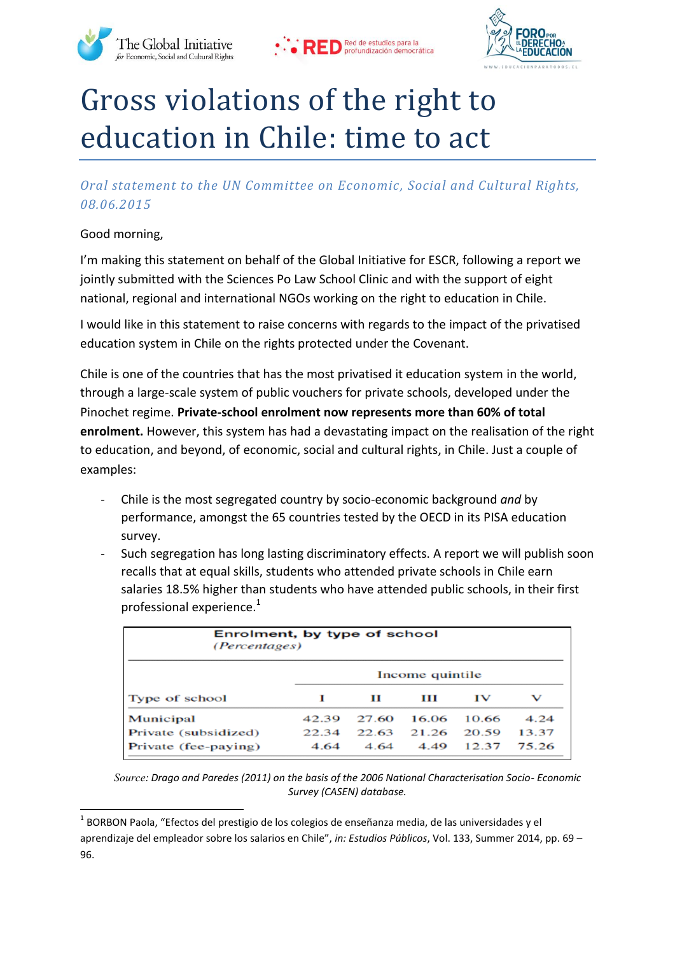





## Gross violations of the right to education in Chile: time to act

*Oral statement to the UN Committee on Economic, Social and Cultural Rights, 08.06.2015*

Good morning,

1

I'm making this statement on behalf of the Global Initiative for ESCR, following a report we jointly submitted with the Sciences Po Law School Clinic and with the support of eight national, regional and international NGOs working on the right to education in Chile.

I would like in this statement to raise concerns with regards to the impact of the privatised education system in Chile on the rights protected under the Covenant.

Chile is one of the countries that has the most privatised it education system in the world, through a large-scale system of public vouchers for private schools, developed under the Pinochet regime. **Private-school enrolment now represents more than 60% of total enrolment.** However, this system has had a devastating impact on the realisation of the right to education, and beyond, of economic, social and cultural rights, in Chile. Just a couple of examples:

- Chile is the most segregated country by socio-economic background *and* by performance, amongst the 65 countries tested by the OECD in its PISA education survey.
- Such segregation has long lasting discriminatory effects. A report we will publish soon recalls that at equal skills, students who attended private schools in Chile earn salaries 18.5% higher than students who have attended public schools, in their first professional experience. $1$

| Enrolment, by type of school<br><i>(Percentages)</i> |                 |       |       |       |       |
|------------------------------------------------------|-----------------|-------|-------|-------|-------|
| Type of school                                       | Income quintile |       |       |       |       |
|                                                      |                 | п     | ш     | īν    | v     |
| Municipal                                            | 42.39           | 27.60 | 16.06 | 10.66 | 4.24  |
| Private (subsidized)                                 | 22.34           | 22.63 | 21.26 | 20.59 | 13.37 |
| Private (fee-paying)                                 | 4.64            | 4.64  | 4.49  | 12.37 | 75.26 |

*Source: Drago and Paredes (2011) on the basis of the 2006 National Characterisation Socio- Economic Survey (CASEN) database.*

<sup>&</sup>lt;sup>1</sup> BORBON Paola, "Efectos del prestigio de los colegios de enseñanza media, de las universidades y el aprendizaje del empleador sobre los salarios en Chile", *in: Estudios Públicos*, Vol. 133, Summer 2014, pp. 69 – 96.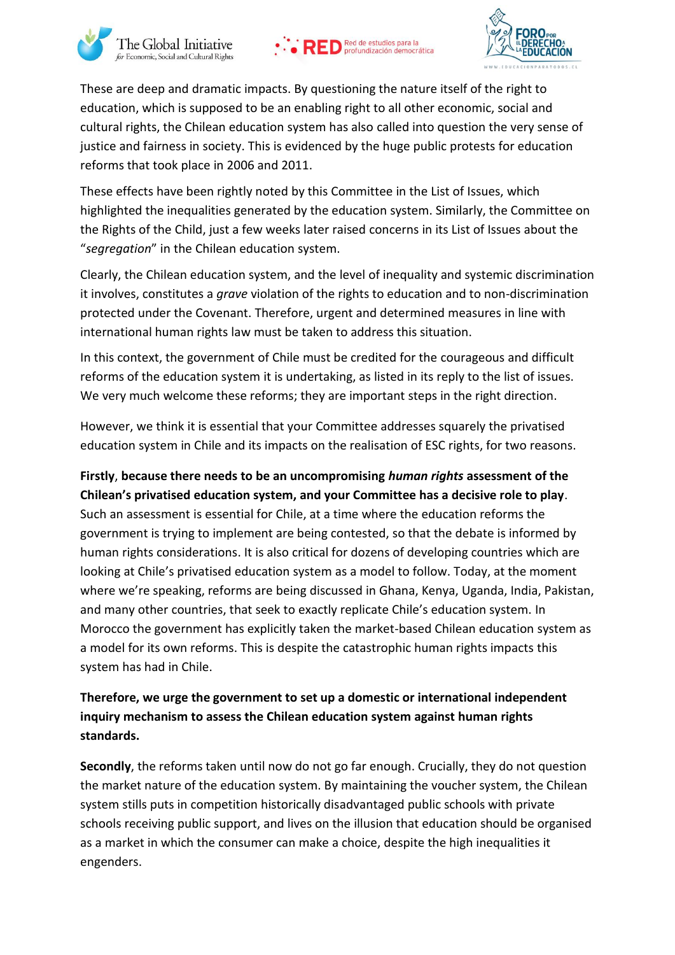





These are deep and dramatic impacts. By questioning the nature itself of the right to education, which is supposed to be an enabling right to all other economic, social and cultural rights, the Chilean education system has also called into question the very sense of justice and fairness in society. This is evidenced by the huge public protests for education reforms that took place in 2006 and 2011.

These effects have been rightly noted by this Committee in the List of Issues, which highlighted the inequalities generated by the education system. Similarly, the Committee on the Rights of the Child, just a few weeks later raised concerns in its List of Issues about the "*segregation*" in the Chilean education system.

Clearly, the Chilean education system, and the level of inequality and systemic discrimination it involves, constitutes a *grave* violation of the rights to education and to non-discrimination protected under the Covenant. Therefore, urgent and determined measures in line with international human rights law must be taken to address this situation.

In this context, the government of Chile must be credited for the courageous and difficult reforms of the education system it is undertaking, as listed in its reply to the list of issues. We very much welcome these reforms; they are important steps in the right direction.

However, we think it is essential that your Committee addresses squarely the privatised education system in Chile and its impacts on the realisation of ESC rights, for two reasons.

## **Firstly**, **because there needs to be an uncompromising** *human rights* **assessment of the Chilean's privatised education system, and your Committee has a decisive role to play**. Such an assessment is essential for Chile, at a time where the education reforms the government is trying to implement are being contested, so that the debate is informed by human rights considerations. It is also critical for dozens of developing countries which are looking at Chile's privatised education system as a model to follow. Today, at the moment where we're speaking, reforms are being discussed in Ghana, Kenya, Uganda, India, Pakistan, and many other countries, that seek to exactly replicate Chile's education system. In Morocco the government has explicitly taken the market-based Chilean education system as a model for its own reforms. This is despite the catastrophic human rights impacts this system has had in Chile.

## **Therefore, we urge the government to set up a domestic or international independent inquiry mechanism to assess the Chilean education system against human rights standards.**

**Secondly**, the reforms taken until now do not go far enough. Crucially, they do not question the market nature of the education system. By maintaining the voucher system, the Chilean system stills puts in competition historically disadvantaged public schools with private schools receiving public support, and lives on the illusion that education should be organised as a market in which the consumer can make a choice, despite the high inequalities it engenders.